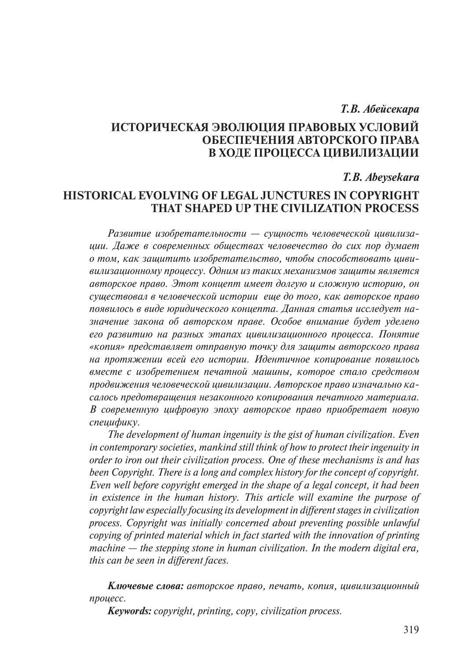## *Т.В. Абейсекара*

# **ИСТОРИЧЕСКАЯ ЭВОЛЮЦИЯ ПРАВОВЫХ УСЛОВИЙ ОБЕСПЕЧЕНИЯ АВТОРСКОГО ПРАВА В ХОДЕ ПРОЦЕССА ЦИВИЛИЗАЦИИ**

## *T.B. Abeysekara*

# **HISTORICAL EVOLVING OF LEGAL JUNCTURES IN COPYRIGHT THAT SHAPED UP THE CIVILIZATION PROCESS**

*Развитие изобретательности — сущность человеческой цивилизации. Даже в современных обществах человечество до сих пор думает о том, как защитить изобретательство, чтобы способствовать цививилизационному процессу. Одним из таких механизмов защиты является авторское право. Этот концепт имеет долгую и сложную историю, он существовал в человеческой истории еще до того, как авторское право появилось в виде юридического концепта. Данная статья исследует назначение закона об авторском праве. Особое внимание будет уделено его развитию на разных этапах цивилизационного процесса. Понятие «копия» представляет отправную точку для защиты авторского права на протяжении всей его истории. Идентичное копирование появилось вместе с изобретением печатной машины, которое стало средством продвижения человеческой цивилизации. Авторское право изначально касалось предотвращения незаконного копирования печатного материала. В современную цифровую эпоху авторское право приобретает новую специфику.*

*The development of human ingenuity is the gist of human civilization. Even in contemporary societies, mankind still think of how to protect their ingenuity in order to iron out their civilization process. One of these mechanisms is and has been Copyright. There is a long and complex history for the concept of copyright. Even well before copyright emerged in the shape of a legal concept, it had been in existence in the human history. This article will examine the purpose of copyright law especially focusing its development in different stages in civilization process. Copyright was initially concerned about preventing possible unlawful copying of printed material which in fact started with the innovation of printing machine — the stepping stone in human civilization. In the modern digital era, this can be seen in different faces.*

*Ключевые слова: авторское право, печать, копия, цивилизационный процесс.*

*Keywords: copyright, printing, copy, civilization process.*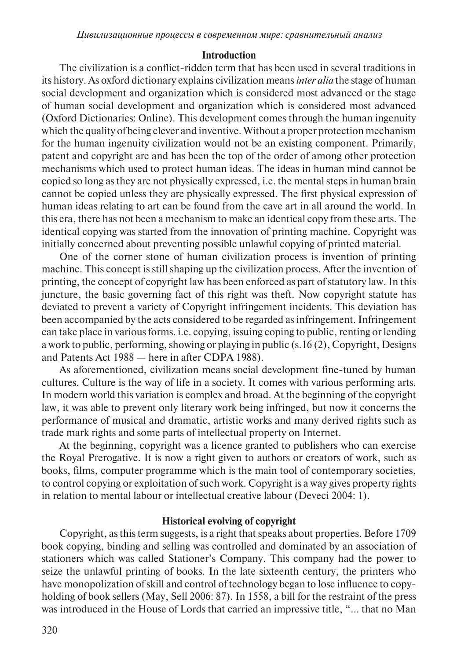#### **Introduction**

The civilization is a conflict-ridden term that has been used in several traditions in its history. As oxford dictionary explains civilization means *inter alia* the stage of human social development and organization which is considered most advanced or the stage of human social development and organization which is considered most advanced (Oxford Dictionaries: Online). This development comes through the human ingenuity which the quality of being clever and inventive. Without a proper protection mechanism for the human ingenuity civilization would not be an existing component. Primarily, patent and copyright are and has been the top of the order of among other protection mechanisms which used to protect human ideas. The ideas in human mind cannot be copied so long as they are not physically expressed, i.e. the mental steps in human brain cannot be copied unless they are physically expressed. The first physical expression of human ideas relating to art can be found from the cave art in all around the world. In this era, there has not been a mechanism to make an identical copy from these arts. The identical copying was started from the innovation of printing machine. Copyright was initially concerned about preventing possible unlawful copying of printed material.

One of the corner stone of human civilization process is invention of printing machine. This concept is still shaping up the civilization process. After the invention of printing, the concept of copyright law has been enforced as part of statutory law. In this juncture, the basic governing fact of this right was theft. Now copyright statute has deviated to prevent a variety of Copyright infringement incidents. This deviation has been accompanied by the acts considered to be regarded as infringement. Infringement can take place in various forms. i.e. copying, issuing coping to public, renting or lending a work to public, performing, showing or playing in public (s.16 (2), Copyright, Designs and Patents Act 1988 — here in after CDPA 1988).

As aforementioned, civilization means social development fine-tuned by human cultures. Culture is the way of life in a society. It comes with various performing arts. In modern world this variation is complex and broad. At the beginning of the copyright law, it was able to prevent only literary work being infringed, but now it concerns the performance of musical and dramatic, artistic works and many derived rights such as trade mark rights and some parts of intellectual property on Internet.

At the beginning, copyright was a licence granted to publishers who can exercise the Royal Prerogative. It is now a right given to authors or creators of work, such as books, films, computer programme which is the main tool of contemporary societies, to control copying or exploitation of such work. Copyright is a way gives property rights in relation to mental labour or intellectual creative labour (Deveci 2004: 1).

### **Historical evolving of copyright**

Copyright, as this term suggests, is a right that speaks about properties. Before 1709 book copying, binding and selling was controlled and dominated by an association of stationers which was called Stationer's Company. This company had the power to seize the unlawful printing of books. In the late sixteenth century, the printers who have monopolization of skill and control of technology began to lose influence to copyholding of book sellers (May, Sell 2006: 87). In 1558, a bill for the restraint of the press was introduced in the House of Lords that carried an impressive title, "... that no Man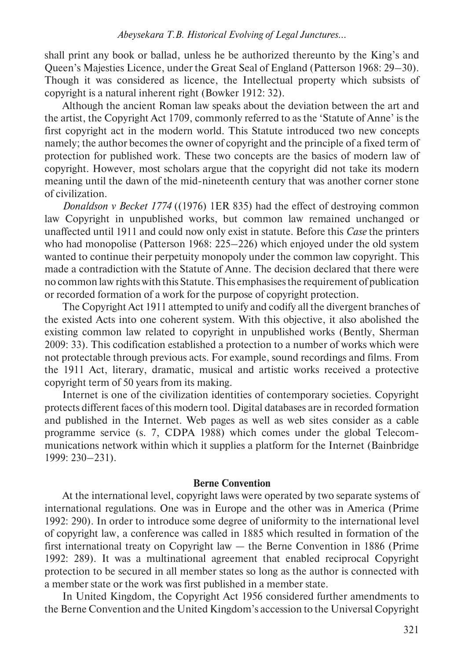shall print any book or ballad, unless he be authorized thereunto by the King's and Queen's Majesties Licence, under the Great Seal of England (Patterson 1968: 29–30). Though it was considered as licence, the Intellectual property which subsists of copyright is a natural inherent right (Bowker 1912: 32).

Although the ancient Roman law speaks about the deviation between the art and the artist, the Copyright Act 1709, commonly referred to as the 'Statute of Anne' is the first copyright act in the modern world. This Statute introduced two new concepts namely; the author becomes the owner of copyright and the principle of a fixed term of protection for published work. These two concepts are the basics of modern law of copyright. However, most scholars argue that the copyright did not take its modern meaning until the dawn of the mid-nineteenth century that was another corner stone of civilization.

*Donaldson v Becket 1774* ((1976) 1ER 835) had the effect of destroying common law Copyright in unpublished works, but common law remained unchanged or unaffected until 1911 and could now only exist in statute. Before this *Case* the printers who had monopolise (Patterson 1968: 225–226) which enjoyed under the old system wanted to continue their perpetuity monopoly under the common law copyright. This made a contradiction with the Statute of Anne. The decision declared that there were no common law rights with this Statute. This emphasises the requirement of publication or recorded formation of a work for the purpose of copyright protection.

The Copyright Act 1911 attempted to unify and codify all the divergent branches of the existed Acts into one coherent system. With this objective, it also abolished the existing common law related to copyright in unpublished works (Bently, Sherman 2009: 33). This codification established a protection to a number of works which were not protectable through previous acts. For example, sound recordings and films. From the 1911 Act, literary, dramatic, musical and artistic works received a protective copyright term of 50 years from its making.

Internet is one of the civilization identities of contemporary societies. Copyright protects different faces of this modern tool. Digital databases are in recorded formation and published in the Internet. Web pages as well as web sites consider as a cable programme service (s. 7, CDPA 1988) which comes under the global Telecommunications network within which it supplies a platform for the Internet (Bainbridge 1999: 230–231).

#### **Berne Convention**

At the international level, copyright laws were operated by two separate systems of international regulations. One was in Europe and the other was in America (Prime 1992: 290). In order to introduce some degree of uniformity to the international level of copyright law, a conference was called in 1885 which resulted in formation of the first international treaty on Copyright law — the Berne Convention in 1886 (Prime 1992: 289). It was a multinational agreement that enabled reciprocal Copyright protection to be secured in all member states so long as the author is connected with a member state or the work was first published in a member state.

In United Kingdom, the Copyright Act 1956 considered further amendments to the Berne Convention and the United Kingdom's accession to the Universal Copyright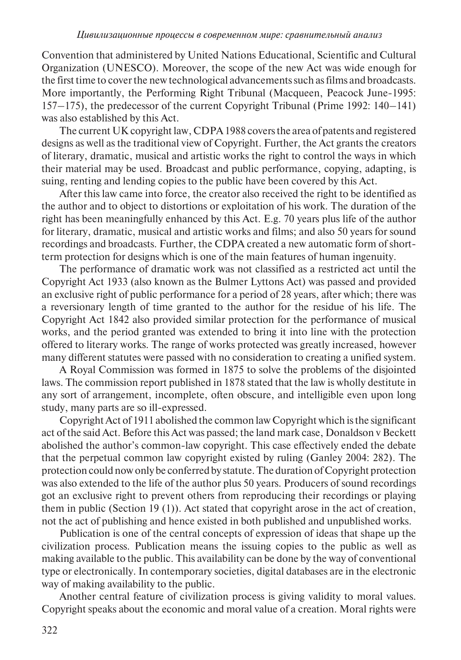Convention that administered by United Nations Educational, Scientific and Cultural Organization (UNESCO). Moreover, the scope of the new Act was wide enough for the first time to cover the new technological advancements such as films and broadcasts. More importantly, the Performing Right Tribunal (Macqueen, Peacock June-1995: 157–175), the predecessor of the current Copyright Tribunal (Prime 1992: 140–141) was also established by this Act.

The current UK copyright law, CDPA 1988 covers the area of patents and registered designs as well as the traditional view of Copyright. Further, the Act grants the creators of literary, dramatic, musical and artistic works the right to control the ways in which their material may be used. Broadcast and public performance, copying, adapting, is suing, renting and lending copies to the public have been covered by this Act.

After this law came into force, the creator also received the right to be identified as the author and to object to distortions or exploitation of his work. The duration of the right has been meaningfully enhanced by this Act. E.g. 70 years plus life of the author for literary, dramatic, musical and artistic works and films; and also 50 years for sound recordings and broadcasts. Further, the CDPA created a new automatic form of shortterm protection for designs which is one of the main features of human ingenuity.

The performance of dramatic work was not classified as a restricted act until the Copyright Act 1933 (also known as the Bulmer Lyttons Act) was passed and provided an exclusive right of public performance for a period of 28 years, after which; there was a reversionary length of time granted to the author for the residue of his life. The Copyright Act 1842 also provided similar protection for the performance of musical works, and the period granted was extended to bring it into line with the protection offered to literary works. The range of works protected was greatly increased, however many different statutes were passed with no consideration to creating a unified system.

A Royal Commission was formed in 1875 to solve the problems of the disjointed laws. The commission report published in 1878 stated that the law is wholly destitute in any sort of arrangement, incomplete, often obscure, and intelligible even upon long study, many parts are so ill-expressed.

Copyright Act of 1911 abolished the common law Copyright which is the significant act of the said Act. Before this Act was passed; the land mark case, Donaldson v Beckett abolished the author's common-law copyright. This case effectively ended the debate that the perpetual common law copyright existed by ruling (Ganley 2004: 282). The protection could now only be conferred by statute. The duration of Copyright protection was also extended to the life of the author plus 50 years. Producers of sound recordings got an exclusive right to prevent others from reproducing their recordings or playing them in public (Section 19 (1)). Act stated that copyright arose in the act of creation, not the act of publishing and hence existed in both published and unpublished works.

Publication is one of the central concepts of expression of ideas that shape up the civilization process. Publication means the issuing copies to the public as well as making available to the public. This availability can be done by the way of conventional type or electronically. In contemporary societies, digital databases are in the electronic way of making availability to the public.

Another central feature of civilization process is giving validity to moral values. Copyright speaks about the economic and moral value of a creation. Moral rights were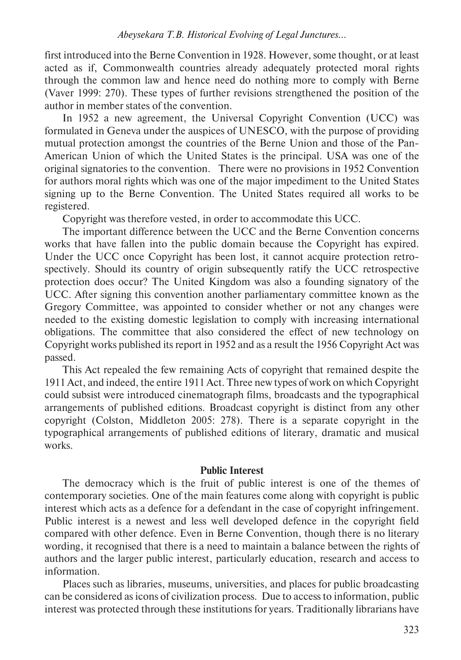first introduced into the Berne Convention in 1928. However, some thought, or at least acted as if, Commonwealth countries already adequately protected moral rights through the common law and hence need do nothing more to comply with Berne (Vaver 1999: 270). These types of further revisions strengthened the position of the author in member states of the convention.

In 1952 a new agreement, the Universal Copyright Convention (UCC) was formulated in Geneva under the auspices of UNESCO, with the purpose of providing mutual protection amongst the countries of the Berne Union and those of the Pan-American Union of which the United States is the principal. USA was one of the original signatories to the convention. There were no provisions in 1952 Convention for authors moral rights which was one of the major impediment to the United States signing up to the Berne Convention. The United States required all works to be registered.

Copyright was therefore vested, in order to accommodate this UCC.

The important difference between the UCC and the Berne Convention concerns works that have fallen into the public domain because the Copyright has expired. Under the UCC once Copyright has been lost, it cannot acquire protection retrospectively. Should its country of origin subsequently ratify the UCC retrospective protection does occur? The United Kingdom was also a founding signatory of the UCC. After signing this convention another parliamentary committee known as the Gregory Committee, was appointed to consider whether or not any changes were needed to the existing domestic legislation to comply with increasing international obligations. The committee that also considered the effect of new technology on Copyright works published its report in 1952 and as a result the 1956 Copyright Act was passed.

This Act repealed the few remaining Acts of copyright that remained despite the 1911 Act, and indeed, the entire 1911 Act. Three new types of work on which Copyright could subsist were introduced cinematograph films, broadcasts and the typographical arrangements of published editions. Broadcast copyright is distinct from any other copyright (Colston, Middleton 2005: 278). There is a separate copyright in the typographical arrangements of published editions of literary, dramatic and musical works.

# **Public Interest**

The democracy which is the fruit of public interest is one of the themes of contemporary societies. One of the main features come along with copyright is public interest which acts as a defence for a defendant in the case of copyright infringement. Public interest is a newest and less well developed defence in the copyright field compared with other defence. Even in Berne Convention, though there is no literary wording, it recognised that there is a need to maintain a balance between the rights of authors and the larger public interest, particularly education, research and access to information.

Places such as libraries, museums, universities, and places for public broadcasting can be considered as icons of civilization process. Due to access to information, public interest was protected through these institutions for years. Traditionally librarians have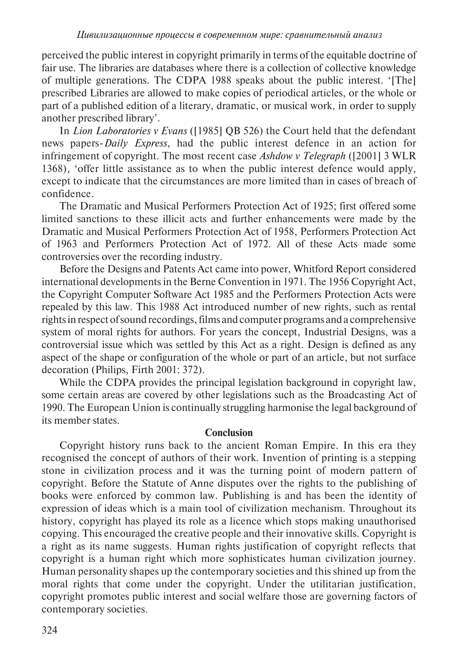perceived the public interest in copyright primarily in terms of the equitable doctrine of fair use. The libraries are databases where there is a collection of collective knowledge of multiple generations. The CDPA 1988 speaks about the public interest. '[The] prescribed Libraries are allowed to make copies of periodical articles, or the whole or part of a published edition of a literary, dramatic, or musical work, in order to supply another prescribed library'.

In *Lion Laboratories v Evans* ([1985] QB 526) the Court held that the defendant news papers-*Daily Express*, had the public interest defence in an action for infringement of copyright. The most recent case *Ashdow v Telegraph* ([2001] 3 WLR 1368)*,* 'offer little assistance as to when the public interest defence would apply, except to indicate that the circumstances are more limited than in cases of breach of confidence.

The Dramatic and Musical Performers Protection Act of 1925; first offered some limited sanctions to these illicit acts and further enhancements were made by the Dramatic and Musical Performers Protection Act of 1958, Performers Protection Act of 1963 and Performers Protection Act of 1972. All of these Acts made some controversies over the recording industry.

Before the Designs and Patents Act came into power, Whitford Report considered international developments in the Berne Convention in 1971. The 1956 Copyright Act, the Copyright Computer Software Act 1985 and the Performers Protection Acts were repealed by this law. This 1988 Act introduced number of new rights, such as rental rights in respect of sound recordings, films and computer programs and a comprehensive system of moral rights for authors. For years the concept, Industrial Designs, was a controversial issue which was settled by this Act as a right. Design is defined as any aspect of the shape or configuration of the whole or part of an article, but not surface decoration (Philips, Firth 2001: 372).

While the CDPA provides the principal legislation background in copyright law, some certain areas are covered by other legislations such as the Broadcasting Act of 1990. The European Union is continually struggling harmonise the legal background of its member states.

# **Conclusion**

Copyright history runs back to the ancient Roman Empire. In this era they recognised the concept of authors of their work. Invention of printing is a stepping stone in civilization process and it was the turning point of modern pattern of copyright. Before the Statute of Anne disputes over the rights to the publishing of books were enforced by common law. Publishing is and has been the identity of expression of ideas which is a main tool of civilization mechanism. Throughout its history, copyright has played its role as a licence which stops making unauthorised copying. This encouraged the creative people and their innovative skills. Copyright is a right as its name suggests. Human rights justification of copyright reflects that copyright is a human right which more sophisticates human civilization journey. Human personality shapes up the contemporary societies and this shined up from the moral rights that come under the copyright. Under the utilitarian justification, copyright promotes public interest and social welfare those are governing factors of contemporary societies.